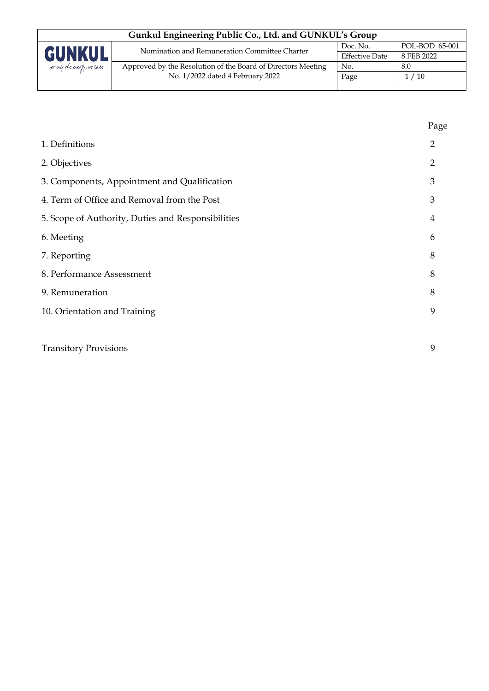| Gunkul Engineering Public Co., Ltd. and GUNKUL's Group |                                                              |                       |                |
|--------------------------------------------------------|--------------------------------------------------------------|-----------------------|----------------|
|                                                        | Nomination and Remuneration Committee Charter                | Doc. No.              | POL-BOD 65-001 |
| <b>GUNKUL</b>                                          |                                                              | <b>Effective Date</b> | 8 FEB 2022     |
| not only the every, we care                            | Approved by the Resolution of the Board of Directors Meeting | No.                   | 8.0            |
|                                                        | No. 1/2022 dated 4 February 2022                             | Page                  | 1/10           |
|                                                        |                                                              |                       |                |

| -age |
|------|

|                                                    | ع س |
|----------------------------------------------------|-----|
| 1. Definitions                                     | 2   |
| 2. Objectives                                      | 2   |
| 3. Components, Appointment and Qualification       | 3   |
| 4. Term of Office and Removal from the Post        | 3   |
| 5. Scope of Authority, Duties and Responsibilities | 4   |
| 6. Meeting                                         | 6   |
| 7. Reporting                                       | 8   |
| 8. Performance Assessment                          | 8   |
| 9. Remuneration                                    | 8   |
| 10. Orientation and Training                       | 9   |
|                                                    |     |
| <b>Transitory Provisions</b>                       | 9   |
|                                                    |     |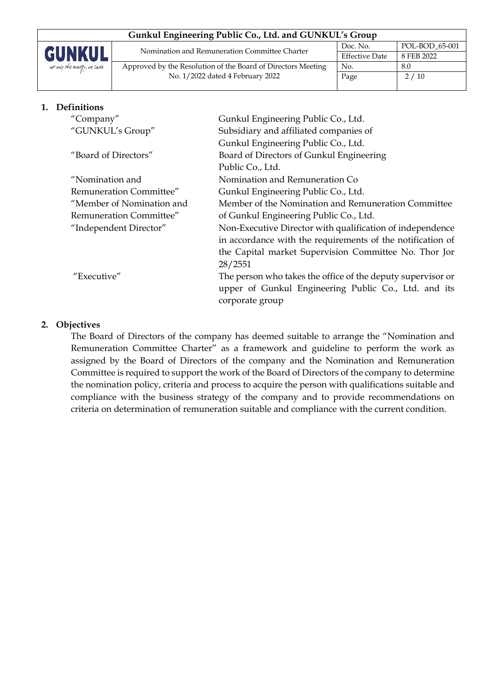| Gunkul Engineering Public Co., Ltd. and GUNKUL's Group |                                                              |                       |                |
|--------------------------------------------------------|--------------------------------------------------------------|-----------------------|----------------|
| <b>GUNKUL</b>                                          | Nomination and Remuneration Committee Charter                | Doc. No.              | POL-BOD 65-001 |
|                                                        |                                                              | <b>Effective Date</b> | 8 FEB 2022     |
| not only the energy, we care                           | Approved by the Resolution of the Board of Directors Meeting | No.                   | 8.0            |
|                                                        | No. 1/2022 dated 4 February 2022                             | Page                  | 2/10           |
|                                                        |                                                              |                       |                |

## **1. Definitions**

| "Company"                 | Gunkul Engineering Public Co., Ltd.                         |
|---------------------------|-------------------------------------------------------------|
| "GUNKUL's Group"          | Subsidiary and affiliated companies of                      |
|                           | Gunkul Engineering Public Co., Ltd.                         |
| "Board of Directors"      | Board of Directors of Gunkul Engineering                    |
|                           | Public Co., Ltd.                                            |
| "Nomination and           | Nomination and Remuneration Co                              |
| Remuneration Committee"   | Gunkul Engineering Public Co., Ltd.                         |
| "Member of Nomination and | Member of the Nomination and Remuneration Committee         |
| Remuneration Committee"   | of Gunkul Engineering Public Co., Ltd.                      |
| "Independent Director"    | Non-Executive Director with qualification of independence   |
|                           | in accordance with the requirements of the notification of  |
|                           | the Capital market Supervision Committee No. Thor Jor       |
|                           | 28/2551                                                     |
| "Executive"               | The person who takes the office of the deputy supervisor or |
|                           | upper of Gunkul Engineering Public Co., Ltd. and its        |
|                           | corporate group                                             |

#### **2. Objectives**

The Board of Directors of the company has deemed suitable to arrange the "Nomination and Remuneration Committee Charter" as a framework and guideline to perform the work as assigned by the Board of Directors of the company and the Nomination and Remuneration Committee is required to support the work of the Board of Directors of the company to determine the nomination policy, criteria and process to acquire the person with qualifications suitable and compliance with the business strategy of the company and to provide recommendations on criteria on determination of remuneration suitable and compliance with the current condition.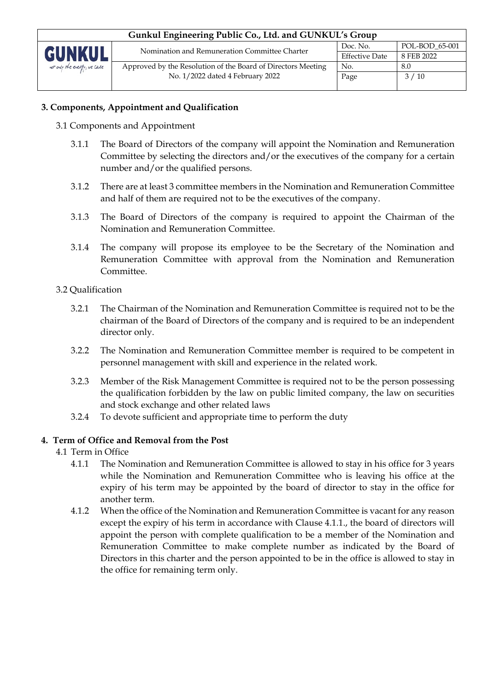| Gunkul Engineering Public Co., Ltd. and GUNKUL's Group |                                                              |                       |                |  |
|--------------------------------------------------------|--------------------------------------------------------------|-----------------------|----------------|--|
|                                                        | Nomination and Remuneration Committee Charter                | Doc. No.              | POL-BOD 65-001 |  |
| <b>GUNKUL</b>                                          |                                                              | <b>Effective Date</b> | 8 FEB 2022     |  |
| not only the energy, we care                           | Approved by the Resolution of the Board of Directors Meeting | No.                   | 8.0            |  |
|                                                        | No. 1/2022 dated 4 February 2022                             | Page                  | 3/10           |  |
|                                                        |                                                              |                       |                |  |

## **3. Components, Appointment and Qualification**

- 3.1 Components and Appointment
	- 3.1.1 The Board of Directors of the company will appoint the Nomination and Remuneration Committee by selecting the directors and/or the executives of the company for a certain number and/or the qualified persons.
	- 3.1.2 There are at least 3 committee members in the Nomination and Remuneration Committee and half of them are required not to be the executives of the company.
	- 3.1.3 The Board of Directors of the company is required to appoint the Chairman of the Nomination and Remuneration Committee.
	- 3.1.4 The company will propose its employee to be the Secretary of the Nomination and Remuneration Committee with approval from the Nomination and Remuneration Committee.
- 3.2 Qualification
	- 3.2.1 The Chairman of the Nomination and Remuneration Committee is required not to be the chairman of the Board of Directors of the company and is required to be an independent director only.
	- 3.2.2 The Nomination and Remuneration Committee member is required to be competent in personnel management with skill and experience in the related work.
	- 3.2.3 Member of the Risk Management Committee is required not to be the person possessing the qualification forbidden by the law on public limited company, the law on securities and stock exchange and other related laws
	- 3.2.4 To devote sufficient and appropriate time to perform the duty

## **4. Term of Office and Removal from the Post**

- 4.1 Term in Office
	- 4.1.1 The Nomination and Remuneration Committee is allowed to stay in his office for 3 years while the Nomination and Remuneration Committee who is leaving his office at the expiry of his term may be appointed by the board of director to stay in the office for another term.
	- 4.1.2 When the office of the Nomination and Remuneration Committee is vacant for any reason except the expiry of his term in accordance with Clause 4.1.1., the board of directors will appoint the person with complete qualification to be a member of the Nomination and Remuneration Committee to make complete number as indicated by the Board of Directors in this charter and the person appointed to be in the office is allowed to stay in the office for remaining term only.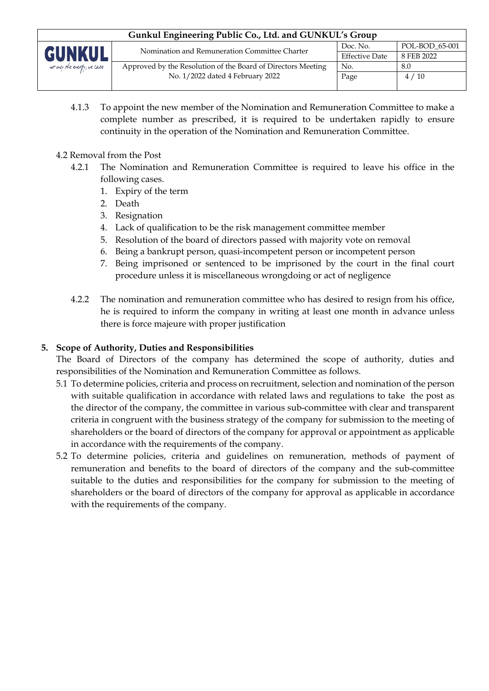| Gunkul Engineering Public Co., Ltd. and GUNKUL's Group |                                                              |                       |                |
|--------------------------------------------------------|--------------------------------------------------------------|-----------------------|----------------|
|                                                        | Nomination and Remuneration Committee Charter                | Doc. No.              | POL-BOD_65-001 |
| <b>GUNKUL</b>                                          |                                                              | <b>Effective Date</b> | 8 FEB 2022     |
| not only the energy, we care                           | Approved by the Resolution of the Board of Directors Meeting | No.                   | 8.0            |
|                                                        | No. 1/2022 dated 4 February 2022                             | Page                  | 4/10           |
|                                                        |                                                              |                       |                |

4.1.3 To appoint the new member of the Nomination and Remuneration Committee to make a complete number as prescribed, it is required to be undertaken rapidly to ensure continuity in the operation of the Nomination and Remuneration Committee.

## 4.2 Removal from the Post

- 4.2.1 The Nomination and Remuneration Committee is required to leave his office in the following cases.
	- 1. Expiry of the term
	- 2. Death
	- 3. Resignation
	- 4. Lack of qualification to be the risk management committee member
	- 5. Resolution of the board of directors passed with majority vote on removal
	- 6. Being a bankrupt person, quasi-incompetent person or incompetent person
	- 7. Being imprisoned or sentenced to be imprisoned by the court in the final court procedure unless it is miscellaneous wrongdoing or act of negligence
- 4.2.2 The nomination and remuneration committee who has desired to resign from his office, he is required to inform the company in writing at least one month in advance unless there is force majeure with proper justification

## **5. Scope of Authority, Duties and Responsibilities**

The Board of Directors of the company has determined the scope of authority, duties and responsibilities of the Nomination and Remuneration Committee as follows.

- 5.1 To determine policies, criteria and process on recruitment, selection and nomination of the person with suitable qualification in accordance with related laws and regulations to take the post as the director of the company, the committee in various sub-committee with clear and transparent criteria in congruent with the business strategy of the company for submission to the meeting of shareholders or the board of directors of the company for approval or appointment as applicable in accordance with the requirements of the company.
- 5.2 To determine policies, criteria and guidelines on remuneration, methods of payment of remuneration and benefits to the board of directors of the company and the sub-committee suitable to the duties and responsibilities for the company for submission to the meeting of shareholders or the board of directors of the company for approval as applicable in accordance with the requirements of the company.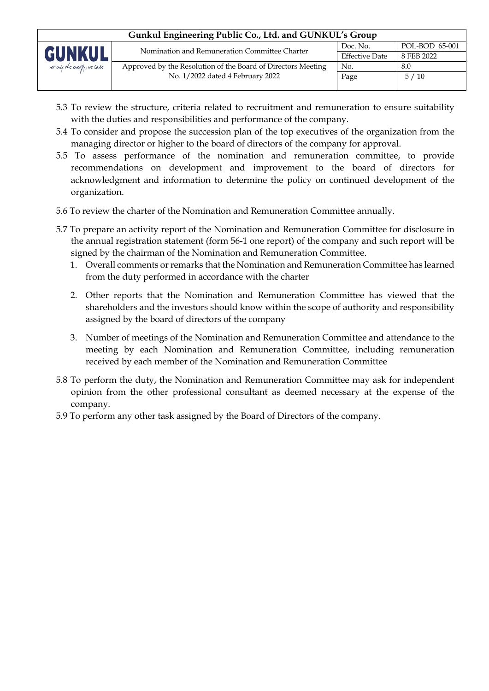| Gunkul Engineering Public Co., Ltd. and GUNKUL's Group |                                                              |                       |                |
|--------------------------------------------------------|--------------------------------------------------------------|-----------------------|----------------|
|                                                        | Nomination and Remuneration Committee Charter                | Doc. No.              | POL-BOD 65-001 |
| <b>GUNKUL</b>                                          |                                                              | <b>Effective Date</b> | 8 FEB 2022     |
| not only the energy, we care                           | Approved by the Resolution of the Board of Directors Meeting | No.                   | 8.0            |
|                                                        | No. 1/2022 dated 4 February 2022                             | Page                  | 5/10           |
|                                                        |                                                              |                       |                |

- 5.3 To review the structure, criteria related to recruitment and remuneration to ensure suitability with the duties and responsibilities and performance of the company.
- 5.4 To consider and propose the succession plan of the top executives of the organization from the managing director or higher to the board of directors of the company for approval.
- 5.5 To assess performance of the nomination and remuneration committee, to provide recommendations on development and improvement to the board of directors for acknowledgment and information to determine the policy on continued development of the organization.
- 5.6 To review the charter of the Nomination and Remuneration Committee annually.
- 5.7 To prepare an activity report of the Nomination and Remuneration Committee for disclosure in the annual registration statement (form 56-1 one report) of the company and such report will be signed by the chairman of the Nomination and Remuneration Committee.
	- 1. Overall comments or remarks that the Nomination and Remuneration Committee has learned from the duty performed in accordance with the charter
	- 2. Other reports that the Nomination and Remuneration Committee has viewed that the shareholders and the investors should know within the scope of authority and responsibility assigned by the board of directors of the company
	- 3. Number of meetings of the Nomination and Remuneration Committee and attendance to the meeting by each Nomination and Remuneration Committee, including remuneration received by each member of the Nomination and Remuneration Committee
- 5.8 To perform the duty, the Nomination and Remuneration Committee may ask for independent opinion from the other professional consultant as deemed necessary at the expense of the company.
- 5.9 To perform any other task assigned by the Board of Directors of the company.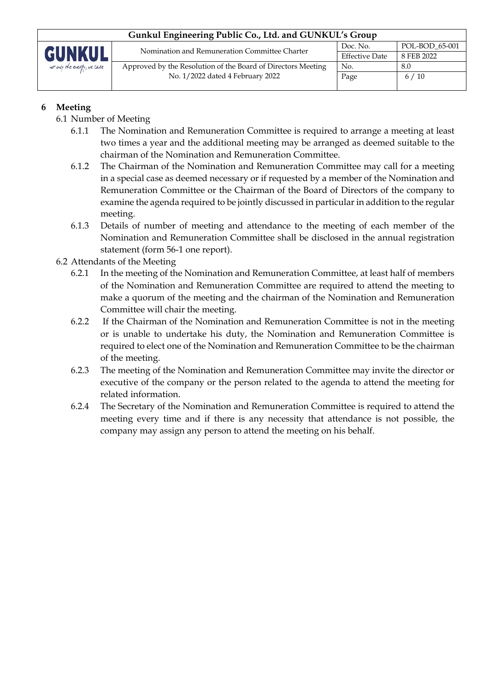| Gunkul Engineering Public Co., Ltd. and GUNKUL's Group |                                                              |                       |                |  |
|--------------------------------------------------------|--------------------------------------------------------------|-----------------------|----------------|--|
| <b>GUNKUL</b>                                          | Nomination and Remuneration Committee Charter                | Doc. No.              | POL-BOD 65-001 |  |
|                                                        |                                                              | <b>Effective Date</b> | 8 FEB 2022     |  |
| not only the energy, we care                           | Approved by the Resolution of the Board of Directors Meeting | No.                   | 8.0            |  |
|                                                        | No. 1/2022 dated 4 February 2022                             | Page                  | 6/10           |  |
|                                                        |                                                              |                       |                |  |

# **6 Meeting**

- 6.1 Number of Meeting
	- 6.1.1 The Nomination and Remuneration Committee is required to arrange a meeting at least two times a year and the additional meeting may be arranged as deemed suitable to the chairman of the Nomination and Remuneration Committee.
	- 6.1.2 The Chairman of the Nomination and Remuneration Committee may call for a meeting in a special case as deemed necessary or if requested by a member of the Nomination and Remuneration Committee or the Chairman of the Board of Directors of the company to examine the agenda required to be jointly discussed in particular in addition to the regular meeting.
	- 6.1.3 Details of number of meeting and attendance to the meeting of each member of the Nomination and Remuneration Committee shall be disclosed in the annual registration statement (form 56-1 one report).

# 6.2 Attendants of the Meeting

- 6.2.1 In the meeting of the Nomination and Remuneration Committee, at least half of members of the Nomination and Remuneration Committee are required to attend the meeting to make a quorum of the meeting and the chairman of the Nomination and Remuneration Committee will chair the meeting.
- 6.2.2 If the Chairman of the Nomination and Remuneration Committee is not in the meeting or is unable to undertake his duty, the Nomination and Remuneration Committee is required to elect one of the Nomination and Remuneration Committee to be the chairman of the meeting.
- 6.2.3 The meeting of the Nomination and Remuneration Committee may invite the director or executive of the company or the person related to the agenda to attend the meeting for related information.
- 6.2.4 The Secretary of the Nomination and Remuneration Committee is required to attend the meeting every time and if there is any necessity that attendance is not possible, the company may assign any person to attend the meeting on his behalf.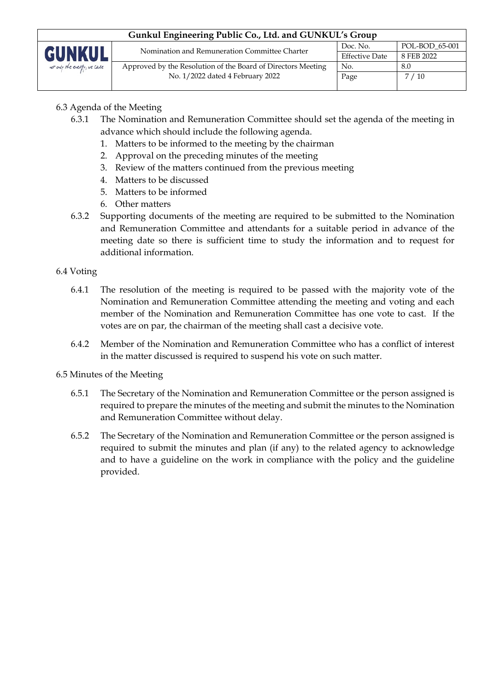| Gunkul Engineering Public Co., Ltd. and GUNKUL's Group |                                                              |                       |                |
|--------------------------------------------------------|--------------------------------------------------------------|-----------------------|----------------|
|                                                        | Nomination and Remuneration Committee Charter                | Doc. No.              | POL-BOD 65-001 |
| <b>GUNKUL</b>                                          |                                                              | <b>Effective Date</b> | 8 FEB 2022     |
| not only the energy, we care                           | Approved by the Resolution of the Board of Directors Meeting | No.                   | 8.0            |
|                                                        | No. 1/2022 dated 4 February 2022                             | Page                  | 7/10           |
|                                                        |                                                              |                       |                |

## 6.3 Agenda of the Meeting

- 6.3.1 The Nomination and Remuneration Committee should set the agenda of the meeting in advance which should include the following agenda.
	- 1. Matters to be informed to the meeting by the chairman
	- 2. Approval on the preceding minutes of the meeting
	- 3. Review of the matters continued from the previous meeting
	- 4. Matters to be discussed
	- 5. Matters to be informed
	- 6. Other matters
- 6.3.2 Supporting documents of the meeting are required to be submitted to the Nomination and Remuneration Committee and attendants for a suitable period in advance of the meeting date so there is sufficient time to study the information and to request for additional information.

#### 6.4 Voting

- 6.4.1 The resolution of the meeting is required to be passed with the majority vote of the Nomination and Remuneration Committee attending the meeting and voting and each member of the Nomination and Remuneration Committee has one vote to cast. If the votes are on par, the chairman of the meeting shall cast a decisive vote.
- 6.4.2 Member of the Nomination and Remuneration Committee who has a conflict of interest in the matter discussed is required to suspend his vote on such matter.

## 6.5 Minutes of the Meeting

- 6.5.1 The Secretary of the Nomination and Remuneration Committee or the person assigned is required to prepare the minutes of the meeting and submit the minutes to the Nomination and Remuneration Committee without delay.
- 6.5.2 The Secretary of the Nomination and Remuneration Committee or the person assigned is required to submit the minutes and plan (if any) to the related agency to acknowledge and to have a guideline on the work in compliance with the policy and the guideline provided.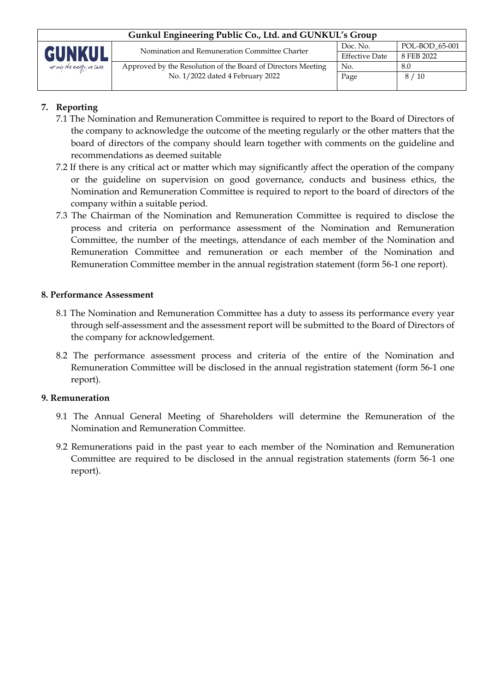| Gunkul Engineering Public Co., Ltd. and GUNKUL's Group |                                                              |                       |                |
|--------------------------------------------------------|--------------------------------------------------------------|-----------------------|----------------|
|                                                        | Nomination and Remuneration Committee Charter                | Doc. No.              | POL-BOD 65-001 |
| <b>GUNKUL</b>                                          |                                                              | <b>Effective Date</b> | 8 FEB 2022     |
| not only the energy, we care                           | Approved by the Resolution of the Board of Directors Meeting | No.                   | 8.0            |
|                                                        | No. 1/2022 dated 4 February 2022                             | Page                  | 8 / 10         |
|                                                        |                                                              |                       |                |

# **7. Reporting**

- 7.1 The Nomination and Remuneration Committee is required to report to the Board of Directors of the company to acknowledge the outcome of the meeting regularly or the other matters that the board of directors of the company should learn together with comments on the guideline and recommendations as deemed suitable
- 7.2 If there is any critical act or matter which may significantly affect the operation of the company or the guideline on supervision on good governance, conducts and business ethics, the Nomination and Remuneration Committee is required to report to the board of directors of the company within a suitable period.
- 7.3 The Chairman of the Nomination and Remuneration Committee is required to disclose the process and criteria on performance assessment of the Nomination and Remuneration Committee, the number of the meetings, attendance of each member of the Nomination and Remuneration Committee and remuneration or each member of the Nomination and Remuneration Committee member in the annual registration statement (form 56-1 one report).

## **8. Performance Assessment**

- 8.1 The Nomination and Remuneration Committee has a duty to assess its performance every year through self-assessment and the assessment report will be submitted to the Board of Directors of the company for acknowledgement.
- 8.2 The performance assessment process and criteria of the entire of the Nomination and Remuneration Committee will be disclosed in the annual registration statement (form 56-1 one report).

## **9. Remuneration**

- 9.1 The Annual General Meeting of Shareholders will determine the Remuneration of the Nomination and Remuneration Committee.
- 9.2 Remunerations paid in the past year to each member of the Nomination and Remuneration Committee are required to be disclosed in the annual registration statements (form 56-1 one report).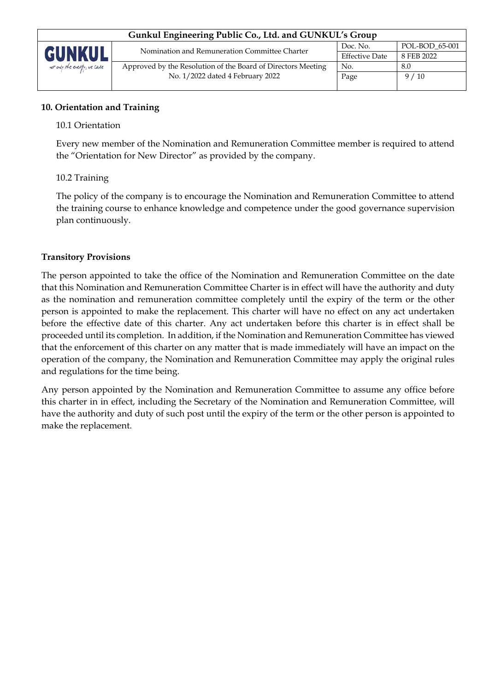| Gunkul Engineering Public Co., Ltd. and GUNKUL's Group |                                                              |                       |                |
|--------------------------------------------------------|--------------------------------------------------------------|-----------------------|----------------|
|                                                        | Nomination and Remuneration Committee Charter                | Doc. No.              | POL-BOD 65-001 |
| <b>GUNKUL</b><br>not only the energy, we care          |                                                              | <b>Effective Date</b> | 8 FEB 2022     |
|                                                        | Approved by the Resolution of the Board of Directors Meeting | No.                   | 8.0            |
|                                                        | No. 1/2022 dated 4 February 2022                             | Page                  | 9/10           |
|                                                        |                                                              |                       |                |

#### **10. Orientation and Training**

#### 10.1 Orientation

Every new member of the Nomination and Remuneration Committee member is required to attend the "Orientation for New Director" as provided by the company.

#### 10.2 Training

The policy of the company is to encourage the Nomination and Remuneration Committee to attend the training course to enhance knowledge and competence under the good governance supervision plan continuously.

#### **Transitory Provisions**

The person appointed to take the office of the Nomination and Remuneration Committee on the date that this Nomination and Remuneration Committee Charter is in effect will have the authority and duty as the nomination and remuneration committee completely until the expiry of the term or the other person is appointed to make the replacement. This charter will have no effect on any act undertaken before the effective date of this charter. Any act undertaken before this charter is in effect shall be proceeded until its completion. In addition, if the Nomination and Remuneration Committee has viewed that the enforcement of this charter on any matter that is made immediately will have an impact on the operation of the company, the Nomination and Remuneration Committee may apply the original rules and regulations for the time being.

Any person appointed by the Nomination and Remuneration Committee to assume any office before this charter in in effect, including the Secretary of the Nomination and Remuneration Committee, will have the authority and duty of such post until the expiry of the term or the other person is appointed to make the replacement.